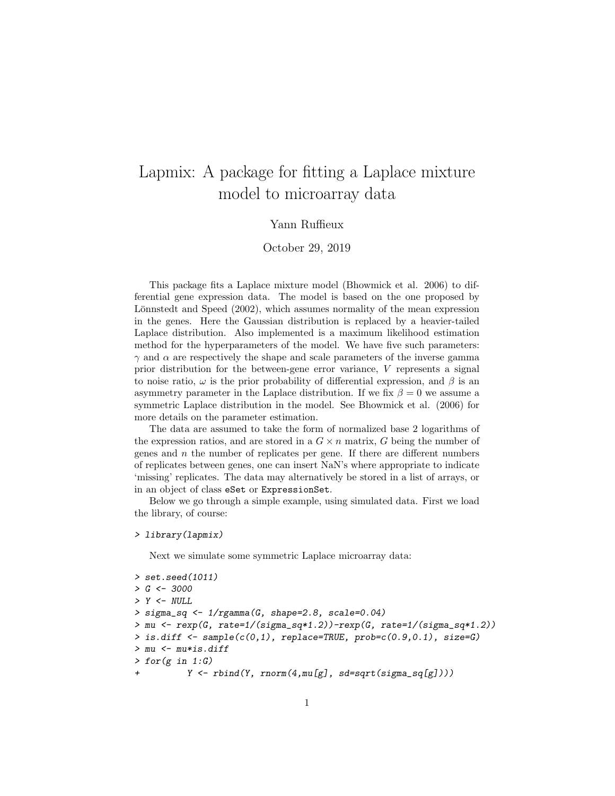# Lapmix: A package for fitting a Laplace mixture model to microarray data

### Yann Ruffieux

October 29, 2019

This package fits a Laplace mixture model (Bhowmick et al. 2006) to differential gene expression data. The model is based on the one proposed by Lönnstedt and Speed (2002), which assumes normality of the mean expression in the genes. Here the Gaussian distribution is replaced by a heavier-tailed Laplace distribution. Also implemented is a maximum likelihood estimation method for the hyperparameters of the model. We have five such parameters:  $\gamma$  and  $\alpha$  are respectively the shape and scale parameters of the inverse gamma prior distribution for the between-gene error variance, V represents a signal to noise ratio,  $\omega$  is the prior probability of differential expression, and  $\beta$  is an asymmetry parameter in the Laplace distribution. If we fix  $\beta = 0$  we assume a symmetric Laplace distribution in the model. See Bhowmick et al. (2006) for more details on the parameter estimation.

The data are assumed to take the form of normalized base 2 logarithms of the expression ratios, and are stored in a  $G \times n$  matrix, G being the number of genes and  $n$  the number of replicates per gene. If there are different numbers of replicates between genes, one can insert NaN's where appropriate to indicate 'missing' replicates. The data may alternatively be stored in a list of arrays, or in an object of class eSet or ExpressionSet.

Below we go through a simple example, using simulated data. First we load the library, of course:

#### > library(lapmix)

Next we simulate some symmetric Laplace microarray data:

```
> set.seed(1011)
> G < -3000> Y < - NULL> sigma_sq <- 1/rgamma(G, shape=2.8, scale=0.04)
>mu \leftarrow resp(G, rate=1/(sigma\_sq*1.2))-rexp(G, rate=1/(sigma_sq*1.2))
> is.diff \leq sample(c(0,1), replace=TRUE, prob=c(0.9,0.1), size=G)
> mu <- mu*is.diff
> for(g in 1:G)Y \leftarrow \text{rbind}(Y, \text{norm}(4, \text{mul}[g], \text{sd=sqrt}(sigma\_sq[g]))\)
```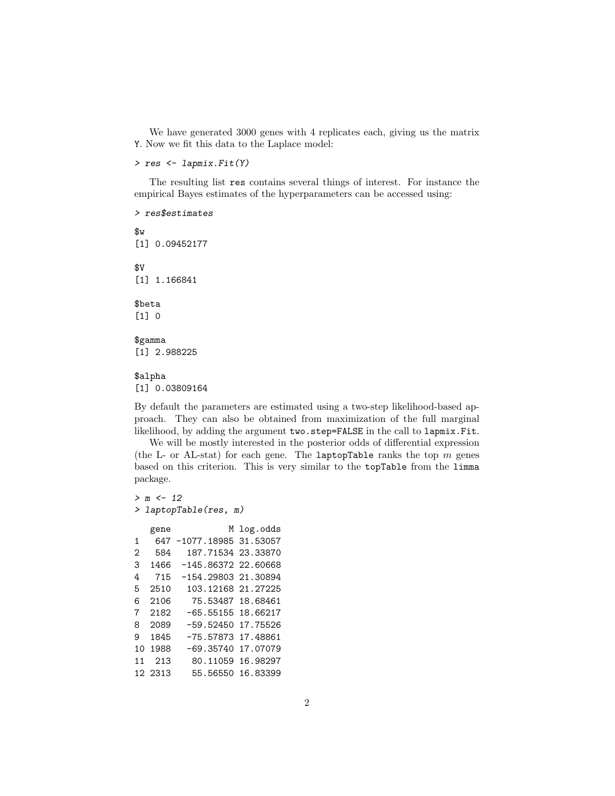We have generated 3000 genes with 4 replicates each, giving us the matrix Y. Now we fit this data to the Laplace model:

> res <- lapmix.Fit(Y)

The resulting list res contains several things of interest. For instance the empirical Bayes estimates of the hyperparameters can be accessed using:

> res\$estimates \$w [1] 0.09452177 \$V [1] 1.166841 \$beta [1] 0 \$gamma [1] 2.988225

## \$alpha

[1] 0.03809164

By default the parameters are estimated using a two-step likelihood-based approach. They can also be obtained from maximization of the full marginal likelihood, by adding the argument two.step=FALSE in the call to lapmix.Fit.

We will be mostly interested in the posterior odds of differential expression (the L- or AL-stat) for each gene. The laptopTable ranks the top  $m$  genes based on this criterion. This is very similar to the topTable from the limma package.

```
> m < - 12> laptopTable(res, m)
  gene M log.odds
1 647 -1077.18985 31.53057
2 584 187.71534 23.33870
3 1466 -145.86372 22.60668
4 715 -154.29803 21.30894
5 2510 103.12168 21.27225
6 2106 75.53487 18.68461
7 2182 -65.55155 18.66217
8 2089 -59.52450 17.75526
9 1845 -75.57873 17.48861
10 1988 -69.35740 17.07079
11 213 80.11059 16.98297
12 2313 55.56550 16.83399
```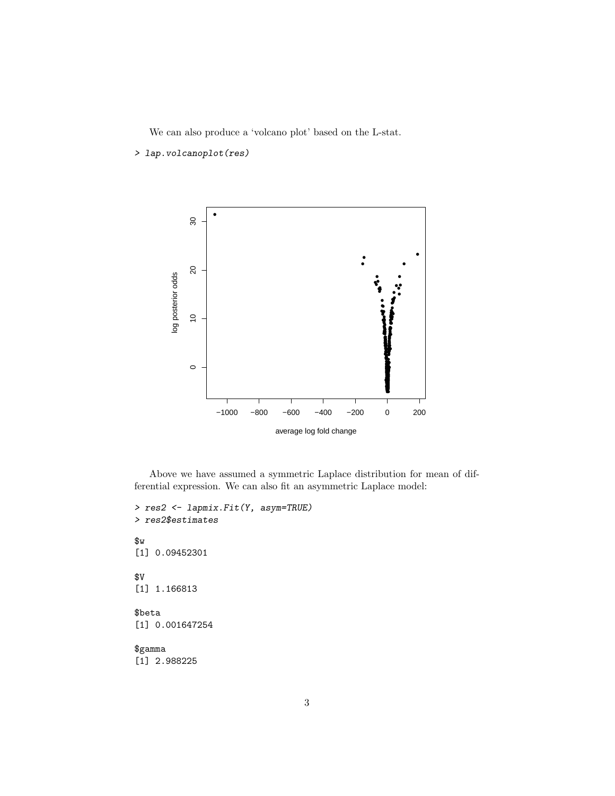We can also produce a 'volcano plot' based on the L-stat.

> lap.volcanoplot(res)



Above we have assumed a symmetric Laplace distribution for mean of differential expression. We can also fit an asymmetric Laplace model:

```
> res2 <- lapmix.Fit(Y, asym=TRUE)
> res2$estimates
$w
[1] 0.09452301
$V
[1] 1.166813
$beta
[1] 0.001647254
$gamma
[1] 2.988225
```